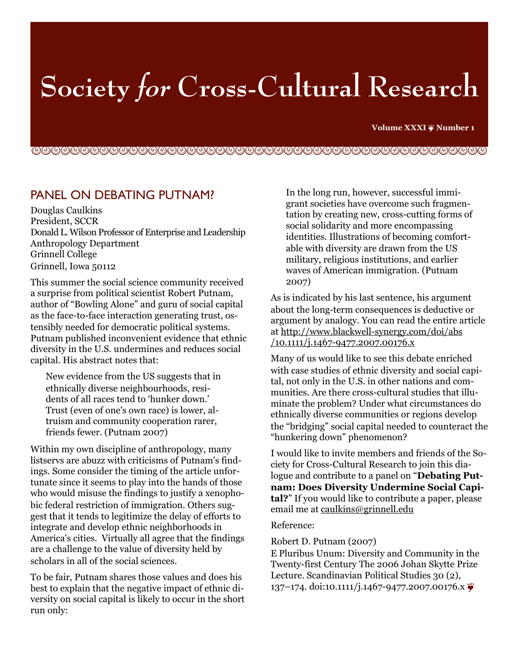# **Society for Cross-Cultural Research**

**Volume XXXI ❦ Number 1**

!"!"!"!"!"!"!"!"!"!"!"!"!"!"!"!"!"!"!"!"!"!"!"!

## PANEL ON DEBATING PUTNAM?

Douglas Caulkins President, SCCR Donald L. Wilson Professor of Enterprise and Leadership Anthropology Department Grinnell College Grinnell, Iowa 50112

This summer the social science community received a surprise from political scientist Robert Putnam, author of "Bowling Alone" and guru of social capital as the face-to-face interaction generating trust, ostensibly needed for democratic political systems. Putnam published inconvenient evidence that ethnic diversity in the U.S. undermines and reduces social capital. His abstract notes that:

New evidence from the US suggests that in ethnically diverse neighbourhoods, residents of all races tend to 'hunker down.' Trust (even of one's own race) is lower, altruism and community cooperation rarer, friends fewer. (Putnam 2007)

Within my own discipline of anthropology, many listservs are abuzz with criticisms of Putnam's findings. Some consider the timing of the article unfortunate since it seems to play into the hands of those who would misuse the findings to justify a xenophobic federal restriction of immigration. Others suggest that it tends to legitimize the delay of efforts to integrate and develop ethnic neighborhoods in America's cities. Virtually all agree that the findings are a challenge to the value of diversity held by scholars in all of the social sciences.

To be fair, Putnam shares those values and does his best to explain that the negative impact of ethnic diversity on social capital is likely to occur in the short run only:

In the long run, however, successful immigrant societies have overcome such fragmentation by creating new, cross-cutting forms of social solidarity and more encompassing identities. Illustrations of becoming comfortable with diversity are drawn from the US military, religious institutions, and earlier waves of American immigration. (Putnam 2007)

As is indicated by his last sentence, his argument about the long-term consequences is deductive or argument by analogy. You can read the entire article at http://www.blackwell-synergy.com/doi/abs /10.1111/j.1467-9477.2007.00176.x

Many of us would like to see this debate enriched with case studies of ethnic diversity and social capital, not only in the U.S. in other nations and communities. Are there cross-cultural studies that illuminate the problem? Under what circumstances do ethnically diverse communities or regions develop the "bridging" social capital needed to counteract the "hunkering down" phenomenon?

I would like to invite members and friends of the Society for Cross-Cultural Research to join this dialogue and contribute to a panel on "**Debating Putnam: Does Diversity Undermine Social Capital?**" If you would like to contribute a paper, please email me at caulkins@grinnell.edu

#### Reference:

Robert D. Putnam (2007)

E Pluribus Unum: Diversity and Community in the Twenty-first Century The 2006 Johan Skytte Prize Lecture. Scandinavian Political Studies 30 (2), 137–174. doi:10.1111/j.1467-9477.2007.00176.x  $\bullet$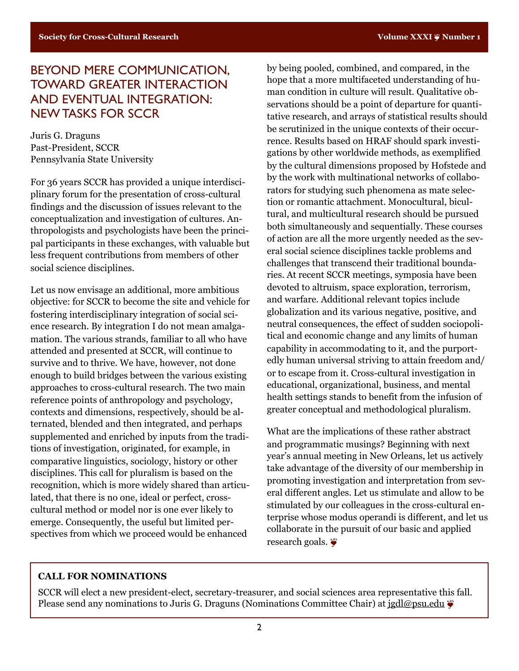# BEYOND MERE COMMUNICATION, TOWARD GREATER INTERACTION AND EVENTUAL INTEGRATION: NEW TASKS FOR SCCR

Juris G. Draguns Past-President, SCCR Pennsylvania State University

For 36 years SCCR has provided a unique interdisciplinary forum for the presentation of cross-cultural findings and the discussion of issues relevant to the conceptualization and investigation of cultures. Anthropologists and psychologists have been the principal participants in these exchanges, with valuable but less frequent contributions from members of other social science disciplines.

Let us now envisage an additional, more ambitious objective: for SCCR to become the site and vehicle for fostering interdisciplinary integration of social science research. By integration I do not mean amalgamation. The various strands, familiar to all who have attended and presented at SCCR, will continue to survive and to thrive. We have, however, not done enough to build bridges between the various existing approaches to cross-cultural research. The two main reference points of anthropology and psychology, contexts and dimensions, respectively, should be alternated, blended and then integrated, and perhaps supplemented and enriched by inputs from the traditions of investigation, originated, for example, in comparative linguistics, sociology, history or other disciplines. This call for pluralism is based on the recognition, which is more widely shared than articulated, that there is no one, ideal or perfect, crosscultural method or model nor is one ever likely to emerge. Consequently, the useful but limited perspectives from which we proceed would be enhanced

by being pooled, combined, and compared, in the hope that a more multifaceted understanding of human condition in culture will result. Qualitative observations should be a point of departure for quantitative research, and arrays of statistical results should be scrutinized in the unique contexts of their occurrence. Results based on HRAF should spark investigations by other worldwide methods, as exemplified by the cultural dimensions proposed by Hofstede and by the work with multinational networks of collaborators for studying such phenomena as mate selection or romantic attachment. Monocultural, bicultural, and multicultural research should be pursued both simultaneously and sequentially. These courses of action are all the more urgently needed as the several social science disciplines tackle problems and challenges that transcend their traditional boundaries. At recent SCCR meetings, symposia have been devoted to altruism, space exploration, terrorism, and warfare. Additional relevant topics include globalization and its various negative, positive, and neutral consequences, the effect of sudden sociopolitical and economic change and any limits of human capability in accommodating to it, and the purportedly human universal striving to attain freedom and/ or to escape from it. Cross-cultural investigation in educational, organizational, business, and mental health settings stands to benefit from the infusion of greater conceptual and methodological pluralism.

What are the implications of these rather abstract and programmatic musings? Beginning with next year's annual meeting in New Orleans, let us actively take advantage of the diversity of our membership in promoting investigation and interpretation from several different angles. Let us stimulate and allow to be stimulated by our colleagues in the cross-cultural enterprise whose modus operandi is different, and let us collaborate in the pursuit of our basic and applied research goals.

#### **CALL FOR NOMINATIONS**

SCCR will elect a new president-elect, secretary-treasurer, and social sciences area representative this fall. Please send any nominations to Juris G. Draguns (Nominations Committee Chair) at [jgdl@psu.edu](mailto:jgdl@psu.edu)  $\ddot{\bullet}$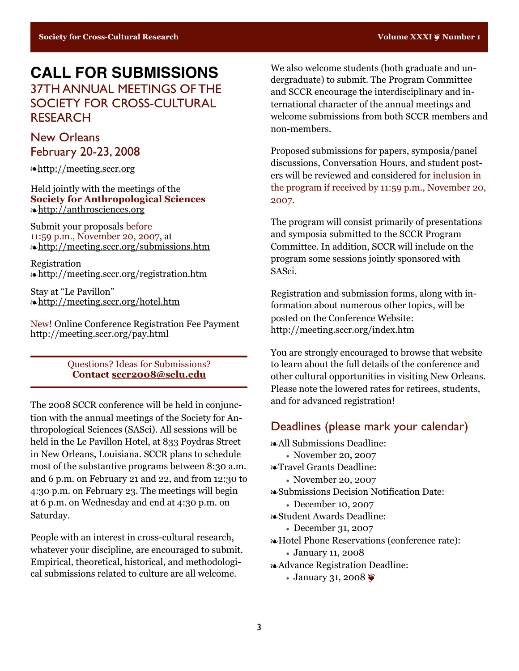# **CALL FOR SUBMISSIONS** 37TH ANNUAL MEETINGS OF THE SOCIETY FOR CROSS-CULTURAL RESEARCH

## New Orleans February 20-23, 2008

❧<http://meeting.sccr.org>

Held jointly with the meetings of the **Society for Anthropological Sciences** ❧<http://anthrosciences.org>

Submit your proposals before 11:59 p.m., November 20, 2007, at ❧<http://meeting.sccr.org/submissions.htm>

Registration ❧<http://meeting.sccr.org/registration.htm>

Stay at "Le Pavillon" ❧<http://meeting.sccr.org/hotel.htm>

New! Online Conference Registration Fee Payment <http://meeting.sccr.org/pay.html>

> Questions? Ideas for Submissions? **Contact sccr2008@selu.edu**

The 2008 SCCR conference will be held in conjunction with the annual meetings of the Society for Anthropological Sciences (SASci). All sessions will be held in the Le Pavillon Hotel, at 833 Poydras Street in New Orleans, Louisiana. SCCR plans to schedule most of the substantive programs between 8:30 a.m. and 6 p.m. on February 21 and 22, and from 12:30 to 4:30 p.m. on February 23. The meetings will begin at 6 p.m. on Wednesday and end at 4:30 p.m. on Saturday.

People with an interest in cross-cultural research, whatever your discipline, are encouraged to submit. Empirical, theoretical, historical, and methodological submissions related to culture are all welcome.

We also welcome students (both graduate and undergraduate) to submit. The Program Committee and SCCR encourage the interdisciplinary and international character of the annual meetings and welcome submissions from both SCCR members and non-members.

Proposed submissions for papers, symposia/panel discussions, Conversation Hours, and student posters will be reviewed and considered for inclusion in the program if received by 11:59 p.m., November 20, 2007.

The program will consist primarily of presentations and symposia submitted to the SCCR Program Committee. In addition, SCCR will include on the program some sessions jointly sponsored with SASci.

Registration and submission forms, along with information about numerous other topics, will be posted on the Conference Website: http://meeting.sccr.org/index.htm

You are strongly encouraged to browse that website to learn about the full details of the conference and other cultural opportunities in visiting New Orleans. Please note the lowered rates for retirees, students, and for advanced registration!

## Deadlines (please mark your calendar)

❧All Submissions Deadline:

- November 20, 2007
- ❧Travel Grants Deadline:
	- November 20, 2007
- ❧Submissions Decision Notification Date:
	- December 10, 2007
- ❧Student Awards Deadline:
	- December 31, 2007
- ❧Hotel Phone Reservations (conference rate):
	- January 11, 2008
- ❧Advance Registration Deadline:
	- January 31, 2008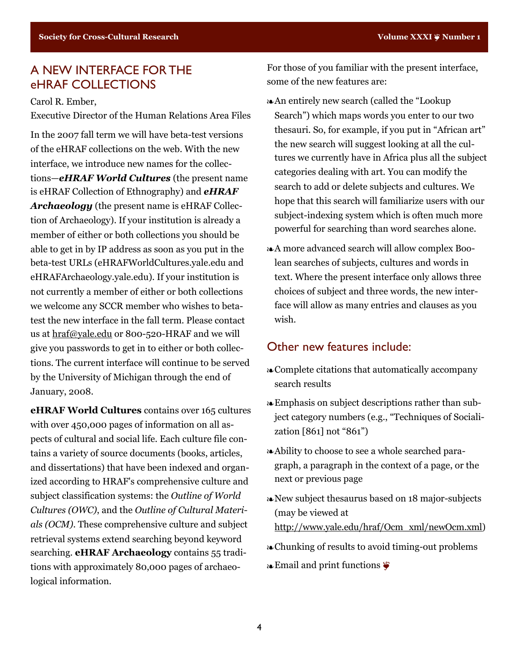# A NEW INTERFACE FOR THE eHRAF COLLECTIONS

Carol R. Ember,

Executive Director of the Human Relations Area Files

In the 2007 fall term we will have beta-test versions of the eHRAF collections on the web. With the new interface, we introduce new names for the collections—*eHRAF World Cultures* (the present name is eHRAF Collection of Ethnography) and *eHRAF Archaeology* (the present name is eHRAF Collection of Archaeology). If your institution is already a member of either or both collections you should be able to get in by IP address as soon as you put in the beta-test URLs (eHRAFWorldCultures.yale.edu and eHRAFArchaeology.yale.edu). If your institution is not currently a member of either or both collections we welcome any SCCR member who wishes to betatest the new interface in the fall term. Please contact us at hraf@yale.edu or 800-520-HRAF and we will give you passwords to get in to either or both collections. The current interface will continue to be served by the University of Michigan through the end of January, 2008.

**eHRAF World Cultures** contains over 165 cultures with over 450,000 pages of information on all aspects of cultural and social life. Each culture file contains a variety of source documents (books, articles, and dissertations) that have been indexed and organized according to HRAF's comprehensive culture and subject classification systems: the *Outline of World Cultures (OWC)*, and the *Outline of Cultural Materials (OCM)*. These comprehensive culture and subject retrieval systems extend searching beyond keyword searching. **eHRAF Archaeology** contains 55 traditions with approximately 80,000 pages of archaeological information.

For those of you familiar with the present interface, some of the new features are:

- ❧An entirely new search (called the "Lookup Search") which maps words you enter to our two thesauri. So, for example, if you put in "African art" the new search will suggest looking at all the cultures we currently have in Africa plus all the subject categories dealing with art. You can modify the search to add or delete subjects and cultures. We hope that this search will familiarize users with our subject-indexing system which is often much more powerful for searching than word searches alone.
- ❧A more advanced search will allow complex Boolean searches of subjects, cultures and words in text. Where the present interface only allows three choices of subject and three words, the new interface will allow as many entries and clauses as you wish.

## Other new features include:

- ❧Complete citations that automatically accompany search results
- ❧Emphasis on subject descriptions rather than subject category numbers (e.g., "Techniques of Socialization [861] not "861")
- ❧Ability to choose to see a whole searched paragraph, a paragraph in the context of a page, or the next or previous page
- ❧New subject thesaurus based on 18 major-subjects (may be viewed at http://www.yale.edu/hraf/Ocm\_xml/newOcm.xml)
- ❧Chunking of results to avoid timing-out problems
- ❧Email and print functions ❦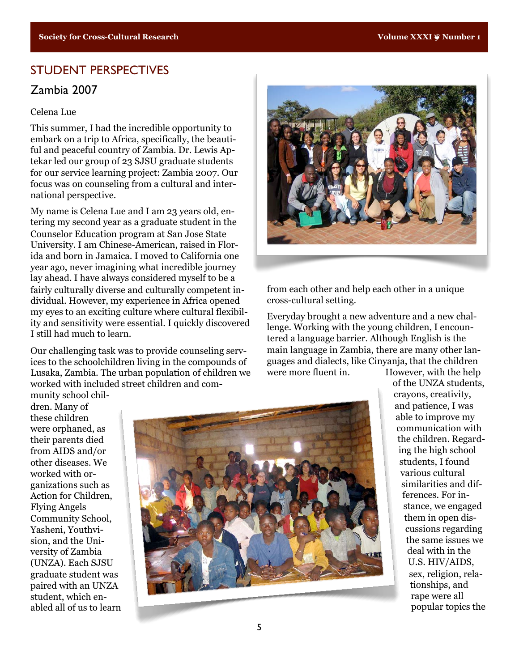## STUDENT PERSPECTIVES

## Zambia 2007

#### Celena Lue

This summer, I had the incredible opportunity to embark on a trip to Africa, specifically, the beautiful and peaceful country of Zambia. Dr. Lewis Aptekar led our group of 23 SJSU graduate students for our service learning project: Zambia 2007. Our focus was on counseling from a cultural and international perspective.

My name is Celena Lue and I am 23 years old, entering my second year as a graduate student in the Counselor Education program at San Jose State University. I am Chinese-American, raised in Florida and born in Jamaica. I moved to California one year ago, never imagining what incredible journey lay ahead. I have always considered myself to be a fairly culturally diverse and culturally competent individual. However, my experience in Africa opened my eyes to an exciting culture where cultural flexibility and sensitivity were essential. I quickly discovered I still had much to learn.

Our challenging task was to provide counseling services to the schoolchildren living in the compounds of Lusaka, Zambia. The urban population of children we worked with included street children and community school chil-



from each other and help each other in a unique cross-cultural setting.

Everyday brought a new adventure and a new challenge. Working with the young children, I encountered a language barrier. Although English is the main language in Zambia, there are many other languages and dialects, like Cinyanja, that the children were more fluent in. However, with the help

dren. Many of these children were orphaned, as their parents died from AIDS and/or other diseases. We worked with organizations such as Action for Children, Flying Angels Community School, Yasheni, Youthvision, and the University of Zambia (UNZA). Each SJSU graduate student was paired with an UNZA student, which enabled all of us to learn



of the UNZA students, crayons, creativity, and patience, I was able to improve my communication with the children. Regarding the high school students, I found various cultural similarities and differences. For instance, we engaged them in open discussions regarding the same issues we deal with in the U.S. HIV/AIDS, sex, religion, relationships, and rape were all popular topics the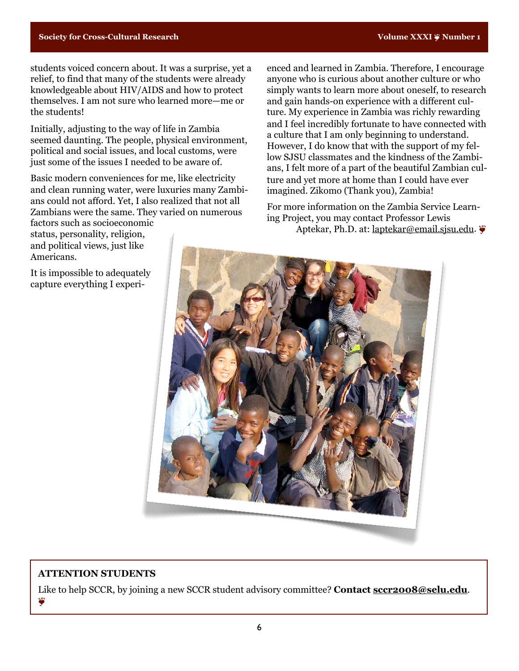students voiced concern about. It was a surprise, yet a relief, to find that many of the students were already knowledgeable about HIV/AIDS and how to protect themselves. I am not sure who learned more—me or the students!

Initially, adjusting to the way of life in Zambia seemed daunting. The people, physical environment, political and social issues, and local customs, were just some of the issues I needed to be aware of.

Basic modern conveniences for me, like electricity and clean running water, were luxuries many Zambians could not afford. Yet, I also realized that not all Zambians were the same. They varied on numerous factors such as socioeconomic

status, personality, religion, and political views, just like Americans.

It is impossible to adequately capture everything I experienced and learned in Zambia. Therefore, I encourage anyone who is curious about another culture or who simply wants to learn more about oneself, to research and gain hands-on experience with a different culture. My experience in Zambia was richly rewarding and I feel incredibly fortunate to have connected with a culture that I am only beginning to understand. However, I do know that with the support of my fellow SJSU classmates and the kindness of the Zambians, I felt more of a part of the beautiful Zambian culture and yet more at home than I could have ever imagined. Zikomo (Thank you), Zambia!

For more information on the Zambia Service Learning Project, you may contact Professor Lewis Aptekar, Ph.D. at: [laptekar@email.sjsu.edu](mailto:laptekar@email.sjsu.edu). ❦



#### **ATTENTION STUDENTS**

Like to help SCCR, by joining a new SCCR student advisory committee? **Contact [sccr2008@selu.edu](mailto:scc@selu.edu)**. ❦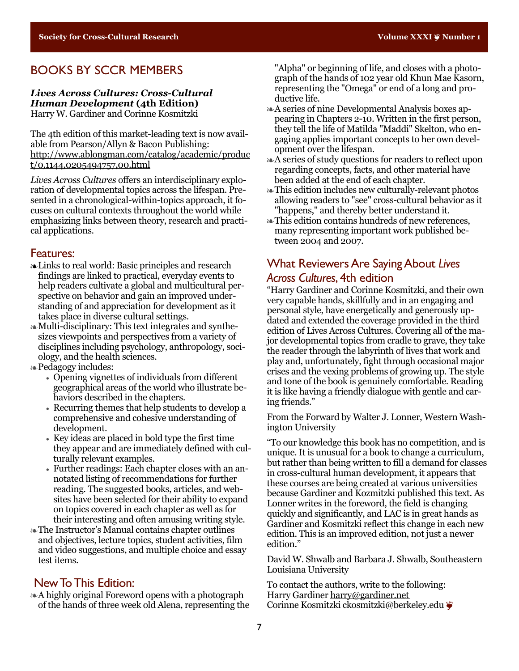## BOOKS BY SCCR MEMBERS

#### *Lives Across Cultures: Cross-Cultural Human Development* **(4th Edition)** Harry W. Gardiner and Corinne Kosmitzki

The 4th edition of this market-leading text is now available from Pearson/Allyn & Bacon Publishing: [http://www.ablongman.com/catalog/academic/produc](http://www.ablongman.com/catalog/academic/product/0,1144,0205494757,00.html) [t/0,1144,0205494757,00.html](http://www.ablongman.com/catalog/academic/product/0,1144,0205494757,00.html)

*Lives Across Cultures* offers an interdisciplinary exploration of developmental topics across the lifespan. Presented in a chronological-within-topics approach, it focuses on cultural contexts throughout the world while emphasizing links between theory, research and practical applications.

#### Features:

- ❧Links to real world: Basic principles and research findings are linked to practical, everyday events to help readers cultivate a global and multicultural perspective on behavior and gain an improved understanding of and appreciation for development as it takes place in diverse cultural settings.
- ❧Multi-disciplinary: This text integrates and synthesizes viewpoints and perspectives from a variety of disciplines including psychology, anthropology, sociology, and the health sciences.
- ❧Pedagogy includes:
	- Opening vignettes of individuals from different geographical areas of the world who illustrate behaviors described in the chapters.
	- Recurring themes that help students to develop a comprehensive and cohesive understanding of development.
	- Key ideas are placed in bold type the first time they appear and are immediately defined with culturally relevant examples.
	- Further readings: Each chapter closes with an annotated listing of recommendations for further reading. The suggested books, articles, and websites have been selected for their ability to expand on topics covered in each chapter as well as for their interesting and often amusing writing style.
- ❧The Instructor's Manual contains chapter outlines and objectives, lecture topics, student activities, film and video suggestions, and multiple choice and essay test items.

#### New To This Edition:

❧A highly original Foreword opens with a photograph of the hands of three week old Alena, representing the "Alpha" or beginning of life, and closes with a photograph of the hands of 102 year old Khun Mae Kasorn, representing the "Omega" or end of a long and productive life.

- ❧A series of nine Developmental Analysis boxes appearing in Chapters 2-10. Written in the first person, they tell the life of Matilda "Maddi" Skelton, who engaging applies important concepts to her own development over the lifespan.
- ❧A series of study questions for readers to reflect upon regarding concepts, facts, and other material have been added at the end of each chapter.
- ❧This edition includes new culturally-relevant photos allowing readers to "see" cross-cultural behavior as it "happens," and thereby better understand it.
- ❧This edition contains hundreds of new references, many representing important work published between 2004 and 2007.

## What Reviewers Are Saying About *Lives Across Cultures*, 4th edition

"Harry Gardiner and Corinne Kosmitzki, and their own very capable hands, skillfully and in an engaging and personal style, have energetically and generously updated and extended the coverage provided in the third edition of Lives Across Cultures. Covering all of the major developmental topics from cradle to grave, they take the reader through the labyrinth of lives that work and play and, unfortunately, fight through occasional major crises and the vexing problems of growing up. The style and tone of the book is genuinely comfortable. Reading it is like having a friendly dialogue with gentle and caring friends."

From the Forward by Walter J. Lonner, Western Washington University

"To our knowledge this book has no competition, and is unique. It is unusual for a book to change a curriculum, but rather than being written to fill a demand for classes in cross-cultural human development, it appears that these courses are being created at various universities because Gardiner and Kozmitzki published this text. As Lonner writes in the foreword, the field is changing quickly and significantly, and LAC is in great hands as Gardiner and Kosmitzki reflect this change in each new edition. This is an improved edition, not just a newer edition."

David W. Shwalb and Barbara J. Shwalb, Southeastern Louisiana University

To contact the authors, write to the following: Harry Gardiner [harry@gardiner.net](mailto:harry@gardiner.net) Corinne Kosmitzki [ckosmitzki@berkeley.edu](mailto:ckosmitzki@berkeley.edu) ❦